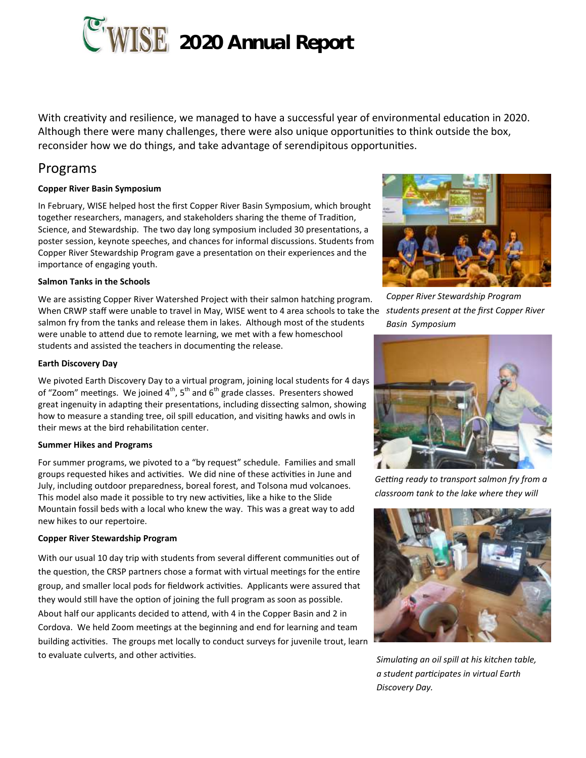

With creativity and resilience, we managed to have a successful year of environmental education in 2020. Although there were many challenges, there were also unique opportunities to think outside the box, reconsider how we do things, and take advantage of serendipitous opportunities.

# Programs

# **Copper River Basin Symposium**

In February, WISE helped host the first Copper River Basin Symposium, which brought together researchers, managers, and stakeholders sharing the theme of Tradition, Science, and Stewardship. The two day long symposium included 30 presentations, a poster session, keynote speeches, and chances for informal discussions. Students from Copper River Stewardship Program gave a presentation on their experiences and the importance of engaging youth.

## **Salmon Tanks in the Schools**

We are assisting Copper River Watershed Project with their salmon hatching program. When CRWP staff were unable to travel in May, WISE went to 4 area schools to take the *students present at the first Copper River*  salmon fry from the tanks and release them in lakes. Although most of the students were unable to attend due to remote learning, we met with a few homeschool students and assisted the teachers in documenting the release.

## **Earth Discovery Day**

We pivoted Earth Discovery Day to a virtual program, joining local students for 4 days of "Zoom" meetings. We joined  $4<sup>th</sup>$ ,  $5<sup>th</sup>$  and  $6<sup>th</sup>$  grade classes. Presenters showed great ingenuity in adapting their presentations, including dissecting salmon, showing how to measure a standing tree, oil spill education, and visiting hawks and owls in their mews at the bird rehabilitation center.

## **Summer Hikes and Programs**

For summer programs, we pivoted to a "by request" schedule. Families and small groups requested hikes and activities. We did nine of these activities in June and July, including outdoor preparedness, boreal forest, and Tolsona mud volcanoes. This model also made it possible to try new activities, like a hike to the Slide Mountain fossil beds with a local who knew the way. This was a great way to add new hikes to our repertoire.

## **Copper River Stewardship Program**

With our usual 10 day trip with students from several different communities out of the question, the CRSP partners chose a format with virtual meetings for the entire group, and smaller local pods for fieldwork activities. Applicants were assured that they would still have the option of joining the full program as soon as possible. About half our applicants decided to attend, with 4 in the Copper Basin and 2 in Cordova. We held Zoom meetings at the beginning and end for learning and team building activities. The groups met locally to conduct surveys for juvenile trout, learn to evaluate culverts, and other activities.



*Copper River Stewardship Program Basin Symposium*



*Getting ready to transport salmon fry from a classroom tank to the lake where they will* 



*Simulating an oil spill at his kitchen table, a student participates in virtual Earth Discovery Day.*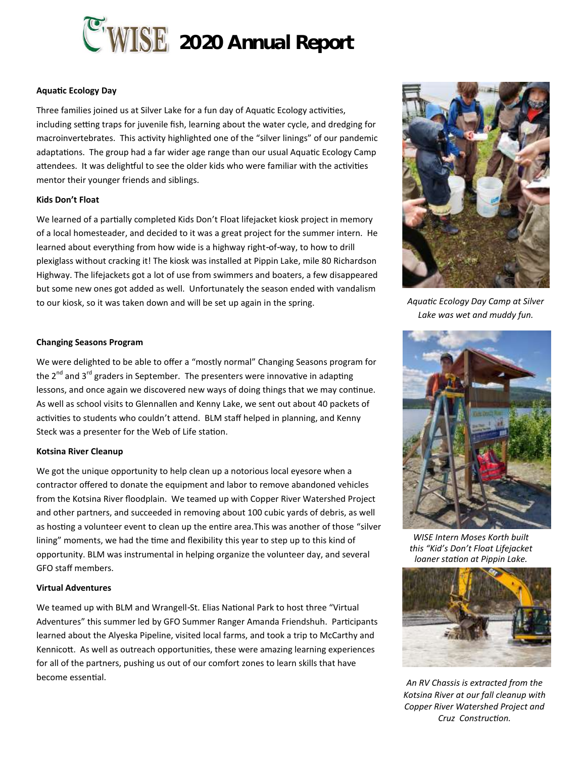

## **Aquatic Ecology Day**

Three families joined us at Silver Lake for a fun day of Aquatic Ecology activities, including setting traps for juvenile fish, learning about the water cycle, and dredging for macroinvertebrates. This activity highlighted one of the "silver linings" of our pandemic adaptations. The group had a far wider age range than our usual Aquatic Ecology Camp attendees. It was delightful to see the older kids who were familiar with the activities mentor their younger friends and siblings.

#### **Kids Don't Float**

We learned of a partially completed Kids Don't Float lifejacket kiosk project in memory of a local homesteader, and decided to it was a great project for the summer intern. He learned about everything from how wide is a highway right-of-way, to how to drill plexiglass without cracking it! The kiosk was installed at Pippin Lake, mile 80 Richardson Highway. The lifejackets got a lot of use from swimmers and boaters, a few disappeared but some new ones got added as well. Unfortunately the season ended with vandalism to our kiosk, so it was taken down and will be set up again in the spring.

#### **Changing Seasons Program**

We were delighted to be able to offer a "mostly normal" Changing Seasons program for the  $2^{nd}$  and  $3^{rd}$  graders in September. The presenters were innovative in adapting lessons, and once again we discovered new ways of doing things that we may continue. As well as school visits to Glennallen and Kenny Lake, we sent out about 40 packets of activities to students who couldn't attend. BLM staff helped in planning, and Kenny Steck was a presenter for the Web of Life station.

#### **Kotsina River Cleanup**

We got the unique opportunity to help clean up a notorious local eyesore when a contractor offered to donate the equipment and labor to remove abandoned vehicles from the Kotsina River floodplain. We teamed up with Copper River Watershed Project and other partners, and succeeded in removing about 100 cubic yards of debris, as well as hosting a volunteer event to clean up the entire area.This was another of those "silver lining" moments, we had the time and flexibility this year to step up to this kind of opportunity. BLM was instrumental in helping organize the volunteer day, and several GFO staff members.

#### **Virtual Adventures**

We teamed up with BLM and Wrangell-St. Elias National Park to host three "Virtual Adventures" this summer led by GFO Summer Ranger Amanda Friendshuh. Participants learned about the Alyeska Pipeline, visited local farms, and took a trip to McCarthy and Kennicott. As well as outreach opportunities, these were amazing learning experiences for all of the partners, pushing us out of our comfort zones to learn skills that have become essential.



*Aquatic Ecology Day Camp at Silver Lake was wet and muddy fun.*



*WISE Intern Moses Korth built this "Kid's Don't Float Lifejacket loaner station at Pippin Lake.*



*An RV Chassis is extracted from the Kotsina River at our fall cleanup with Copper River Watershed Project and Cruz Construction.*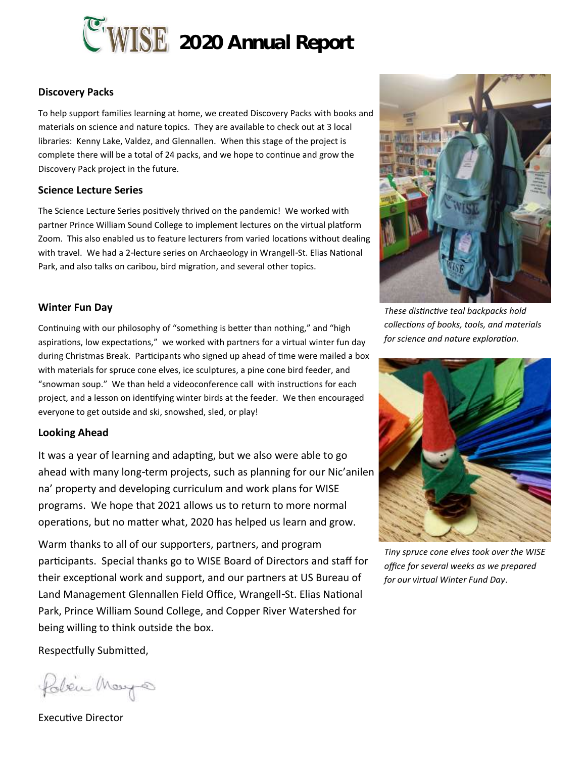

# **Discovery Packs**

To help support families learning at home, we created Discovery Packs with books and materials on science and nature topics. They are available to check out at 3 local libraries: Kenny Lake, Valdez, and Glennallen. When this stage of the project is complete there will be a total of 24 packs, and we hope to continue and grow the Discovery Pack project in the future.

# **Science Lecture Series**

The Science Lecture Series positively thrived on the pandemic! We worked with partner Prince William Sound College to implement lectures on the virtual platform Zoom. This also enabled us to feature lecturers from varied locations without dealing with travel. We had a 2-lecture series on Archaeology in Wrangell-St. Elias National Park, and also talks on caribou, bird migration, and several other topics.

# **Winter Fun Day**

Continuing with our philosophy of "something is better than nothing," and "high aspirations, low expectations," we worked with partners for a virtual winter fun day during Christmas Break. Participants who signed up ahead of time were mailed a box with materials for spruce cone elves, ice sculptures, a pine cone bird feeder, and "snowman soup." We than held a videoconference call with instructions for each project, and a lesson on identifying winter birds at the feeder. We then encouraged everyone to get outside and ski, snowshed, sled, or play!

# **Looking Ahead**

It was a year of learning and adapting, but we also were able to go ahead with many long-term projects, such as planning for our Nic'anilen na' property and developing curriculum and work plans for WISE programs. We hope that 2021 allows us to return to more normal operations, but no matter what, 2020 has helped us learn and grow.

Warm thanks to all of our supporters, partners, and program participants. Special thanks go to WISE Board of Directors and staff for their exceptional work and support, and our partners at US Bureau of Land Management Glennallen Field Office, Wrangell-St. Elias National Park, Prince William Sound College, and Copper River Watershed for being willing to think outside the box.



*These distinctive teal backpacks hold collections of books, tools, and materials for science and nature exploration.*



*Tiny spruce cone elves took over the WISE office for several weeks as we prepared for our virtual Winter Fund Day*.

Respectfully Submitted,

Polici Mays

Executive Director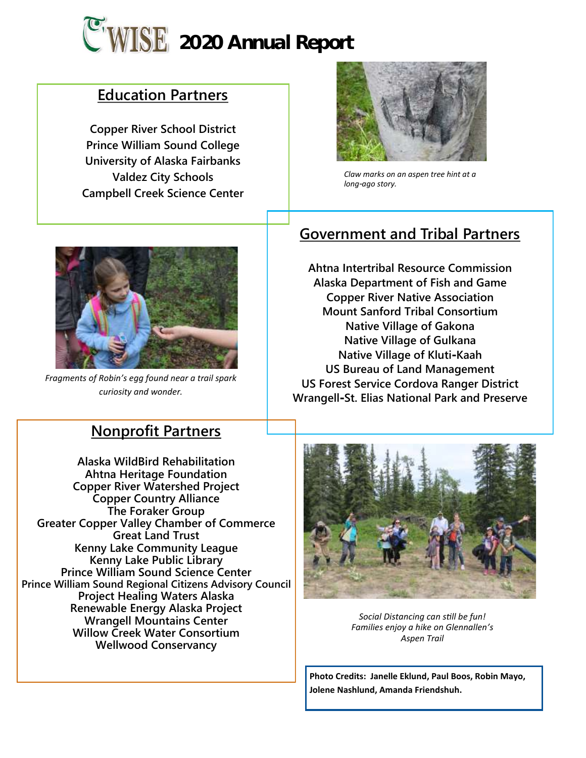

# **Education Partners**

**Copper River School District Prince William Sound College University of Alaska Fairbanks Valdez City Schools Campbell Creek Science Center**



*Claw marks on an aspen tree hint at a long-ago story.*



*Fragments of Robin's egg found near a trail spark curiosity and wonder.*

# **Nonprofit Partners**

**Alaska WildBird Rehabilitation Ahtna Heritage Foundation Copper River Watershed Project Copper Country Alliance The Foraker Group Greater Copper Valley Chamber of Commerce Great Land Trust Kenny Lake Community League Kenny Lake Public Library Prince William Sound Science Center Prince William Sound Regional Citizens Advisory Council Project Healing Waters Alaska Renewable Energy Alaska Project Wrangell Mountains Center Willow Creek Water Consortium Wellwood Conservancy**

# **Government and Tribal Partners**

**Ahtna Intertribal Resource Commission Alaska Department of Fish and Game Copper River Native Association Mount Sanford Tribal Consortium Native Village of Gakona Native Village of Gulkana Native Village of Kluti-Kaah US Bureau of Land Management US Forest Service Cordova Ranger District Wrangell-St. Elias National Park and Preserve**



*Social Distancing can still be fun! Families enjoy a hike on Glennallen's Aspen Trail*

**Photo Credits: Janelle Eklund, Paul Boos, Robin Mayo, Jolene Nashlund, Amanda Friendshuh.**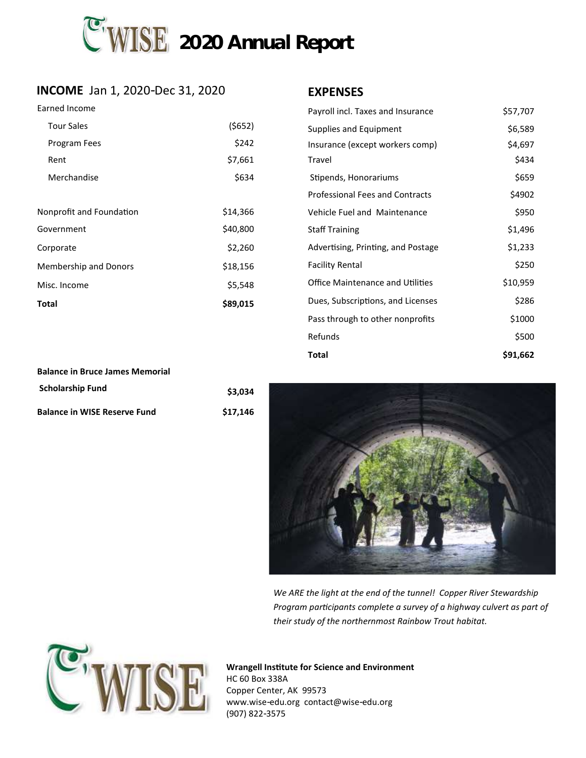

# **INCOME** Jan 1, 2020-Dec 31, 2020 **EXPENSES**

## Earned Income

| <b>Tour Sales</b>            | (5652)   |
|------------------------------|----------|
| Program Fees                 | \$242    |
| Rent                         | \$7,661  |
| Merchandise                  | \$634    |
|                              |          |
| Nonprofit and Foundation     | \$14,366 |
| Government                   | \$40,800 |
| Corporate                    | \$2,260  |
| <b>Membership and Donors</b> | \$18,156 |
| Misc. Income                 | \$5,548  |
| Total                        | \$89,015 |

| Payroll incl. Taxes and Insurance       | \$57,707 |
|-----------------------------------------|----------|
| Supplies and Equipment                  | \$6,589  |
| Insurance (except workers comp)         | \$4,697  |
| Travel                                  | \$434    |
| Stipends, Honorariums                   | \$659    |
| <b>Professional Fees and Contracts</b>  | \$4902   |
| <b>Vehicle Fuel and Maintenance</b>     | \$950    |
| <b>Staff Training</b>                   | \$1,496  |
| Advertising, Printing, and Postage      | \$1,233  |
| <b>Facility Rental</b>                  | \$250    |
| <b>Office Maintenance and Utilities</b> | \$10,959 |
| Dues, Subscriptions, and Licenses       | \$286    |
| Pass through to other nonprofits        | \$1000   |
| Refunds                                 | \$500    |
| Total                                   | \$91,662 |

| <b>Balance in Bruce James Memorial</b> |          |
|----------------------------------------|----------|
| <b>Scholarship Fund</b>                | \$3.034  |
| <b>Balance in WISE Reserve Fund</b>    | \$17.146 |



*We ARE the light at the end of the tunnel! Copper River Stewardship Program participants complete a survey of a highway culvert as part of their study of the northernmost Rainbow Trout habitat.*



**Wrangell Institute for Science and Environment** HC 60 Box 338A Copper Center, AK 99573 www.wise-edu.org contact@wise-edu.org

(907) 822-3575